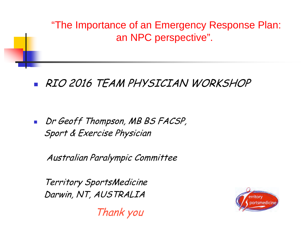"The Importance of an Emergency Response Plan: an NPC perspective".

# RIO 2016 TEAM PHYSICIAN WORKSHOP

Dr Geoff Thompson, MB BS FACSP, Sport & Exercise Physician

Australian Paralympic Committee

 Territory SportsMedicine Darwin, NT, AUSTRALIA

erritory

Thank you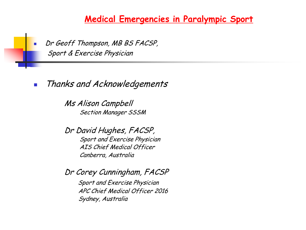

Dr Geoff Thompson, MB BS FACSP, Sport & Exercise Physician

**Thanks and Acknowledgements** 

Ms Alison Campbell Section Manager SSSM

Dr David Hughes, FACSP, Sport and Exercise Physician AIS Chief Medical Officer Canberra, Australia

Dr Corey Cunningham, FACSP Sport and Exercise Physician APC Chief Medical Officer 2016 Sydney, Australia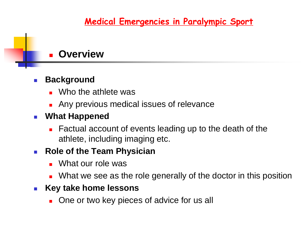#### **Overview**

#### **Background**

- **No the athlete was**
- **Any previous medical issues of relevance**
- **What Happened**
	- **Factual account of events leading up to the death of the** athlete, including imaging etc.

#### **Role of the Team Physician**

- **Number** What our role was
- **Numer What we see as the role generally of the doctor in this position**

#### **Key take home lessons**

■ One or two key pieces of advice for us all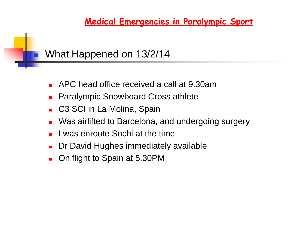# What Happened on 13/2/14

- APC head office received a call at 9.30am
- Paralympic Snowboard Cross athlete
- C3 SCI in La Molina, Spain
- Was airlifted to Barcelona, and undergoing surgery
- I was enroute Sochi at the time
- Dr David Hughes immediately available
- On flight to Spain at 5.30PM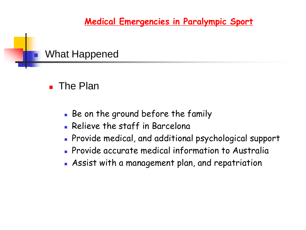# What Happened

### ■ The Plan

- Be on the ground before the family
- **Relieve the staff in Barcelona**
- Provide medical, and additional psychological support
- **Provide accurate medical information to Australia**
- Assist with a management plan, and repatriation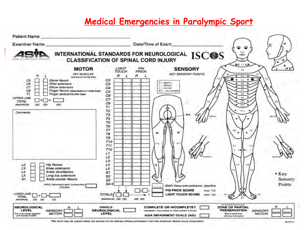

This torm may be copied freely but should not be altered without permission from the American Soynel Injury Association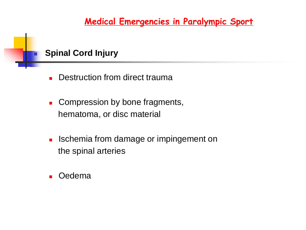#### **Spinal Cord Injury**

- **Destruction from direct trauma**
- **Compression by bone fragments,** hematoma, or disc material
- **I.** Ischemia from damage or impingement on the spinal arteries
- Oedema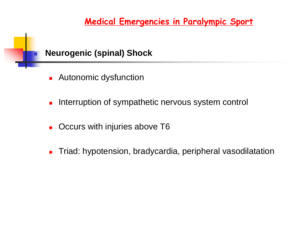#### **Neurogenic (spinal) Shock**

- **Autonomic dysfunction**
- **Interruption of sympathetic nervous system control**
- **C** Occurs with injuries above T6
- **Triad: hypotension, bradycardia, peripheral vasodilatation**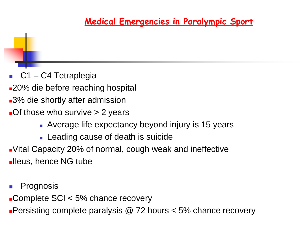**C1 – C4 Tetraplegia** 

- **20% die before reaching hospital**
- 3% die shortly after admission
- **-Of those who survive > 2 years** 
	- **Average life expectancy beyond injury is 15 years**
	- **Leading cause of death is suicide**
- Vital Capacity 20% of normal, cough weak and ineffective **Ileus, hence NG tube**
- Prognosis
- ■Complete SCI < 5% chance recovery
- **Persisting complete paralysis @ 72 hours**  $<$  **5% chance recovery**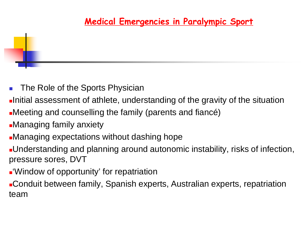- **The Role of the Sports Physician**
- Initial assessment of athlete, understanding of the gravity of the situation
- Meeting and counselling the family (parents and fiancé)
- Managing family anxiety

- Managing expectations without dashing hope
- Understanding and planning around autonomic instability, risks of infection, pressure sores, DVT
- 'Window of opportunity' for repatriation
- Conduit between family, Spanish experts, Australian experts, repatriation team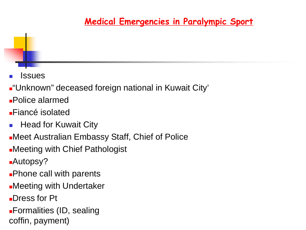**Issues** 

- **-**"Unknown" deceased foreign national in Kuwait City'
- Police alarmed
- Fiancé isolated
- **Head for Kuwait City**
- Meet Australian Embassy Staff, Chief of Police
- Meeting with Chief Pathologist
- Autopsy?
- **Phone call with parents**
- Meeting with Undertaker
- Dress for Pt
- Formalities (ID, sealing coffin, payment)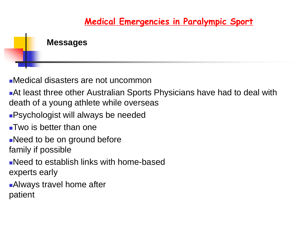### **Messages**

- Medical disasters are not uncommon
- At least three other Australian Sports Physicians have had to deal with death of a young athlete while overseas
- **Psychologist will always be needed**
- Two is better than one
- ■Need to be on ground before family if possible
- Need to establish links with home-based experts early
- **Always travel home after** patient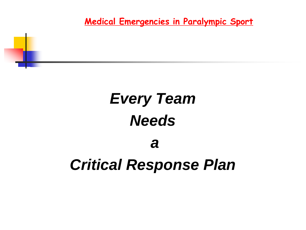# *Every Team Needs*

i<br>L

# *Critical Response Plan*

*a*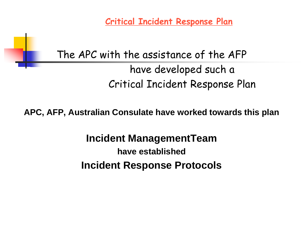**Critical Incident Response Plan**

# The APC with the assistance of the AFP have developed such a Critical Incident Response Plan

i<br>L

**APC, AFP, Australian Consulate have worked towards this plan**

**Incident ManagementTeam have established Incident Response Protocols**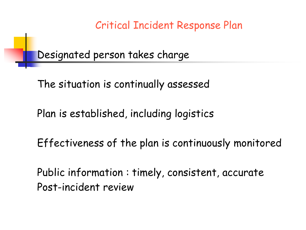Critical Incident Response Plan

Designated person takes charge

i<br>L

The situation is continually assessed

Plan is established, including logistics

Effectiveness of the plan is continuously monitored

Public information : timely, consistent, accurate Post-incident review